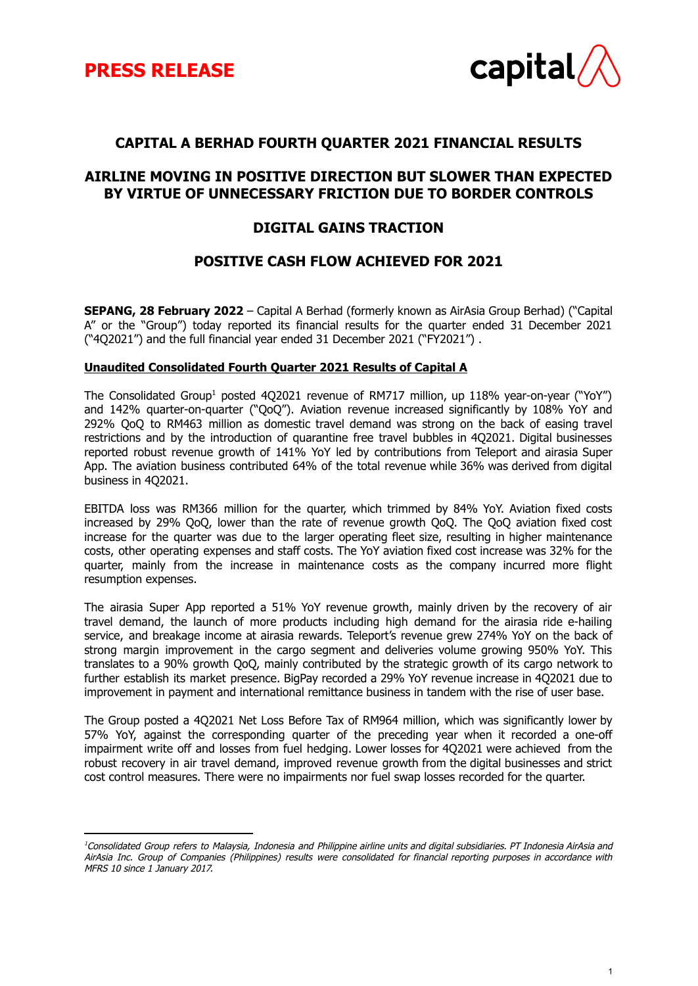

1

## **CAPITAL A BERHAD FOURTH QUARTER 2021 FINANCIAL RESULTS**

## **AIRLINE MOVING IN POSITIVE DIRECTION BUT SLOWER THAN EXPECTED BY VIRTUE OF UNNECESSARY FRICTION DUE TO BORDER CONTROLS**

## **DIGITAL GAINS TRACTION**

## **POSITIVE CASH FLOW ACHIEVED FOR 2021**

**SEPANG, 28 February 2022** – Capital A Berhad (formerly known as AirAsia Group Berhad) ("Capital A" or the "Group") today reported its financial results for the quarter ended 31 December 2021 ("4Q2021") and the full financial year ended 31 December 2021 ("FY2021") .

#### **Unaudited Consolidated Fourth Quarter 2021 Results of Capital A**

The Consolidated Group<sup>1</sup> posted 4Q2021 revenue of RM717 million, up 118% year-on-year ("YoY") and 142% quarter-on-quarter ("QoQ"). Aviation revenue increased significantly by 108% YoY and 292% QoQ to RM463 million as domestic travel demand was strong on the back of easing travel restrictions and by the introduction of quarantine free travel bubbles in 4Q2021. Digital businesses reported robust revenue growth of 141% YoY led by contributions from Teleport and airasia Super App. The aviation business contributed 64% of the total revenue while 36% was derived from digital business in 4Q2021.

EBITDA loss was RM366 million for the quarter, which trimmed by 84% YoY. Aviation fixed costs increased by 29% QoQ, lower than the rate of revenue growth QoQ. The QoQ aviation fixed cost increase for the quarter was due to the larger operating fleet size, resulting in higher maintenance costs, other operating expenses and staff costs. The YoY aviation fixed cost increase was 32% for the quarter, mainly from the increase in maintenance costs as the company incurred more flight resumption expenses.

The airasia Super App reported a 51% YoY revenue growth, mainly driven by the recovery of air travel demand, the launch of more products including high demand for the airasia ride e-hailing service, and breakage income at airasia rewards. Teleport's revenue grew 274% YoY on the back of strong margin improvement in the cargo segment and deliveries volume growing 950% YoY. This translates to a 90% growth QoQ, mainly contributed by the strategic growth of its cargo network to further establish its market presence. BigPay recorded a 29% YoY revenue increase in 4Q2021 due to improvement in payment and international remittance business in tandem with the rise of user base.

The Group posted a 4Q2021 Net Loss Before Tax of RM964 million, which was significantly lower by 57% YoY, against the corresponding quarter of the preceding year when it recorded a one-off impairment write off and losses from fuel hedging. Lower losses for 4Q2021 were achieved from the robust recovery in air travel demand, improved revenue growth from the digital businesses and strict cost control measures. There were no impairments nor fuel swap losses recorded for the quarter.

<sup>&</sup>lt;sup>1</sup>Consolidated Group refers to Malaysia, Indonesia and Philippine airline units and digital subsidiaries. PT Indonesia AirAsia and AirAsia Inc. Group of Companies (Philippines) results were consolidated for financial reporting purposes in accordance with MFRS 10 since 1 January 2017.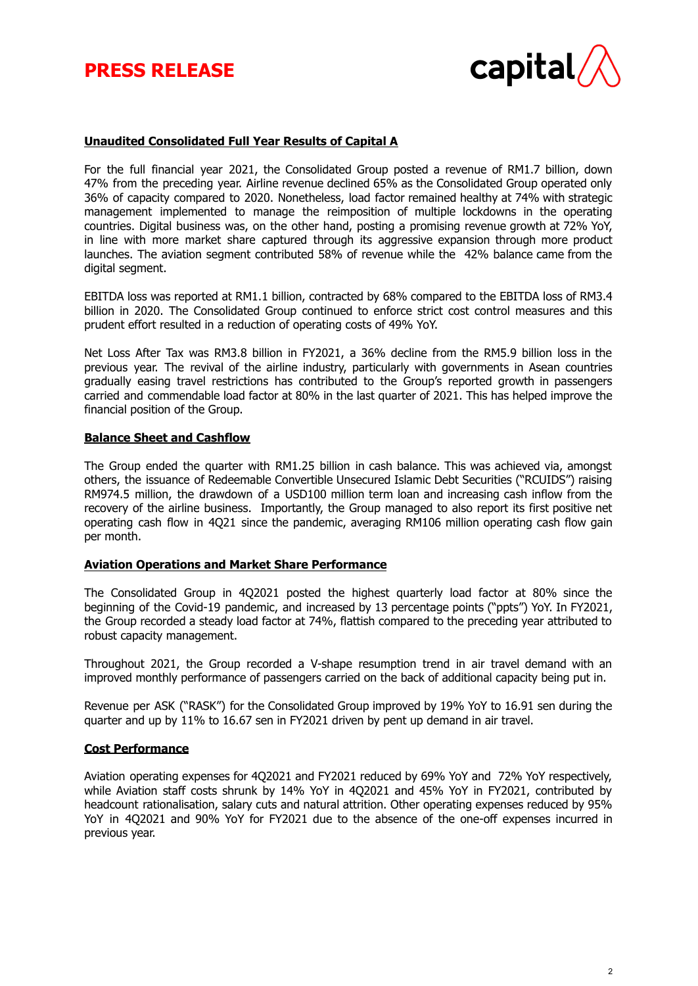# **PRESS RELEASE**



### **Unaudited Consolidated Full Year Results of Capital A**

For the full financial year 2021, the Consolidated Group posted a revenue of RM1.7 billion, down 47% from the preceding year. Airline revenue declined 65% as the Consolidated Group operated only 36% of capacity compared to 2020. Nonetheless, load factor remained healthy at 74% with strategic management implemented to manage the reimposition of multiple lockdowns in the operating countries. Digital business was, on the other hand, posting a promising revenue growth at 72% YoY, in line with more market share captured through its aggressive expansion through more product launches. The aviation segment contributed 58% of revenue while the 42% balance came from the digital segment.

EBITDA loss was reported at RM1.1 billion, contracted by 68% compared to the EBITDA loss of RM3.4 billion in 2020. The Consolidated Group continued to enforce strict cost control measures and this prudent effort resulted in a reduction of operating costs of 49% YoY.

Net Loss After Tax was RM3.8 billion in FY2021, a 36% decline from the RM5.9 billion loss in the previous year. The revival of the airline industry, particularly with governments in Asean countries gradually easing travel restrictions has contributed to the Group's reported growth in passengers carried and commendable load factor at 80% in the last quarter of 2021. This has helped improve the financial position of the Group.

#### **Balance Sheet and Cashflow**

The Group ended the quarter with RM1.25 billion in cash balance. This was achieved via, amongst others, the issuance of Redeemable Convertible Unsecured Islamic Debt Securities ("RCUIDS") raising RM974.5 million, the drawdown of a USD100 million term loan and increasing cash inflow from the recovery of the airline business. Importantly, the Group managed to also report its first positive net operating cash flow in 4Q21 since the pandemic, averaging RM106 million operating cash flow gain per month.

#### **Aviation Operations and Market Share Performance**

The Consolidated Group in 4Q2021 posted the highest quarterly load factor at 80% since the beginning of the Covid-19 pandemic, and increased by 13 percentage points ("ppts") YoY. In FY2021, the Group recorded a steady load factor at 74%, flattish compared to the preceding year attributed to robust capacity management.

Throughout 2021, the Group recorded a V-shape resumption trend in air travel demand with an improved monthly performance of passengers carried on the back of additional capacity being put in.

Revenue per ASK ("RASK") for the Consolidated Group improved by 19% YoY to 16.91 sen during the quarter and up by 11% to 16.67 sen in FY2021 driven by pent up demand in air travel.

#### **Cost Performance**

Aviation operating expenses for 4Q2021 and FY2021 reduced by 69% YoY and 72% YoY respectively, while Aviation staff costs shrunk by 14% YoY in 4Q2021 and 45% YoY in FY2021, contributed by headcount rationalisation, salary cuts and natural attrition. Other operating expenses reduced by 95% YoY in 4Q2021 and 90% YoY for FY2021 due to the absence of the one-off expenses incurred in previous year.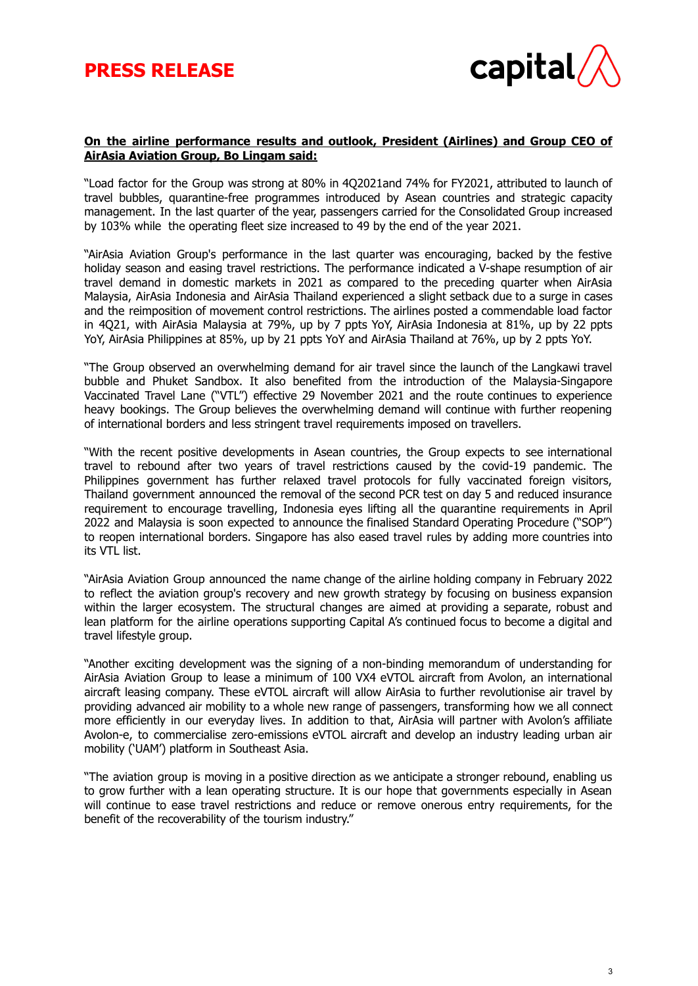

#### **On the airline performance results and outlook, President (Airlines) and Group CEO of AirAsia Aviation Group, Bo Lingam said:**

"Load factor for the Group was strong at 80% in 4Q2021and 74% for FY2021, attributed to launch of travel bubbles, quarantine-free programmes introduced by Asean countries and strategic capacity management. In the last quarter of the year, passengers carried for the Consolidated Group increased by 103% while the operating fleet size increased to 49 by the end of the year 2021.

"AirAsia Aviation Group's performance in the last quarter was encouraging, backed by the festive holiday season and easing travel restrictions. The performance indicated a V-shape resumption of air travel demand in domestic markets in 2021 as compared to the preceding quarter when AirAsia Malaysia, AirAsia Indonesia and AirAsia Thailand experienced a slight setback due to a surge in cases and the reimposition of movement control restrictions. The airlines posted a commendable load factor in 4Q21, with AirAsia Malaysia at 79%, up by 7 ppts YoY, AirAsia Indonesia at 81%, up by 22 ppts YoY, AirAsia Philippines at 85%, up by 21 ppts YoY and AirAsia Thailand at 76%, up by 2 ppts YoY.

"The Group observed an overwhelming demand for air travel since the launch of the Langkawi travel bubble and Phuket Sandbox. It also benefited from the introduction of the Malaysia-Singapore Vaccinated Travel Lane ("VTL") effective 29 November 2021 and the route continues to experience heavy bookings. The Group believes the overwhelming demand will continue with further reopening of international borders and less stringent travel requirements imposed on travellers.

"With the recent positive developments in Asean countries, the Group expects to see international travel to rebound after two years of travel restrictions caused by the covid-19 pandemic. The Philippines government has further relaxed travel protocols for fully vaccinated foreign visitors, Thailand government announced the removal of the second PCR test on day 5 and reduced insurance requirement to encourage travelling, Indonesia eyes lifting all the quarantine requirements in April 2022 and Malaysia is soon expected to announce the finalised Standard Operating Procedure ("SOP") to reopen international borders. Singapore has also eased travel rules by adding more countries into its VTL list.

"AirAsia Aviation Group announced the name change of the airline holding company in February 2022 to reflect the aviation group's recovery and new growth strategy by focusing on business expansion within the larger ecosystem. The structural changes are aimed at providing a separate, robust and lean platform for the airline operations supporting Capital A's continued focus to become a digital and travel lifestyle group.

"Another exciting development was the signing of a non-binding memorandum of understanding for AirAsia Aviation Group to lease a minimum of 100 VX4 eVTOL aircraft from Avolon, an international aircraft leasing company. These eVTOL aircraft will allow AirAsia to further revolutionise air travel by providing advanced air mobility to a whole new range of passengers, transforming how we all connect more efficiently in our everyday lives. In addition to that, AirAsia will partner with Avolon's affiliate Avolon-e, to commercialise zero-emissions eVTOL aircraft and develop an industry leading urban air mobility ('UAM') platform in Southeast Asia.

"The aviation group is moving in a positive direction as we anticipate a stronger rebound, enabling us to grow further with a lean operating structure. It is our hope that governments especially in Asean will continue to ease travel restrictions and reduce or remove onerous entry requirements, for the benefit of the recoverability of the tourism industry."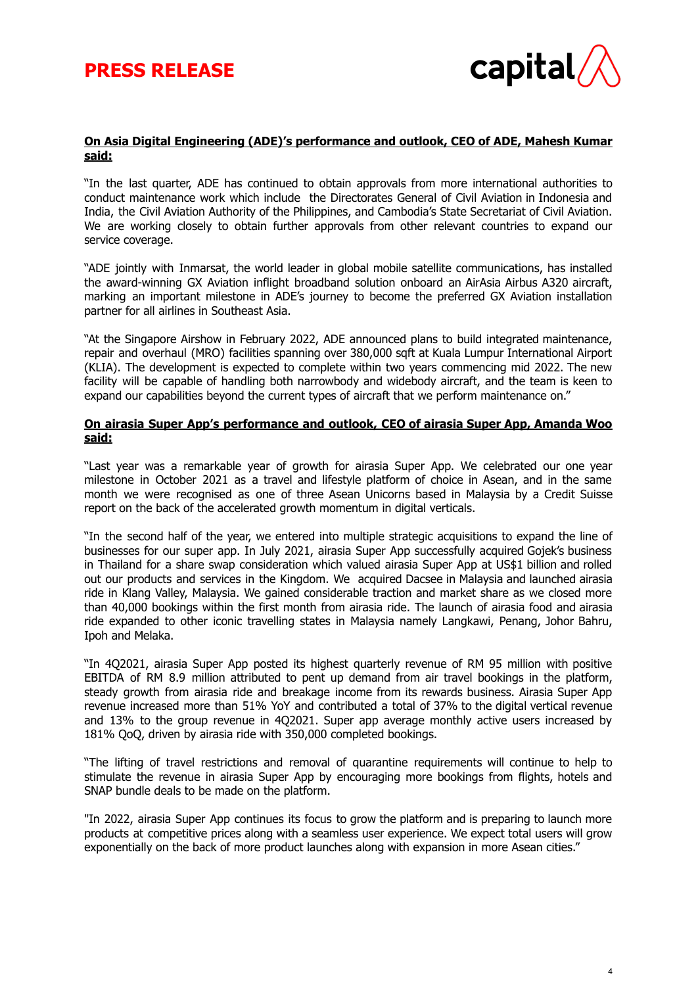

4

#### **On Asia Digital Engineering (ADE)'s performance and outlook, CEO of ADE, Mahesh Kumar said:**

"In the last quarter, ADE has continued to obtain approvals from more international authorities to conduct maintenance work which include the Directorates General of Civil Aviation in Indonesia and India, the Civil Aviation Authority of the Philippines, and Cambodia's State Secretariat of Civil Aviation. We are working closely to obtain further approvals from other relevant countries to expand our service coverage.

"ADE jointly with Inmarsat, the world leader in global mobile satellite communications, has installed the award-winning GX Aviation inflight broadband solution onboard an AirAsia Airbus A320 aircraft, marking an important milestone in ADE's journey to become the preferred GX Aviation installation partner for all airlines in Southeast Asia.

"At the Singapore Airshow in February 2022, ADE announced plans to build integrated maintenance, repair and overhaul (MRO) facilities spanning over 380,000 sqft at Kuala Lumpur International Airport (KLIA). The development is expected to complete within two years commencing mid 2022. The new facility will be capable of handling both narrowbody and widebody aircraft, and the team is keen to expand our capabilities beyond the current types of aircraft that we perform maintenance on."

#### **On airasia Super App's performance and outlook, CEO of airasia Super App, Amanda Woo said:**

"Last year was a remarkable year of growth for airasia Super App. We celebrated our one year milestone in October 2021 as a travel and lifestyle platform of choice in Asean, and in the same month we were recognised as one of three Asean Unicorns based in Malaysia by a Credit Suisse report on the back of the accelerated growth momentum in digital verticals.

"In the second half of the year, we entered into multiple strategic acquisitions to expand the line of businesses for our super app. In July 2021, airasia Super App successfully acquired Gojek's business in Thailand for a share swap consideration which valued airasia Super App at US\$1 billion and rolled out our products and services in the Kingdom. We acquired Dacsee in Malaysia and launched airasia ride in Klang Valley, Malaysia. We gained considerable traction and market share as we closed more than 40,000 bookings within the first month from airasia ride. The launch of airasia food and airasia ride expanded to other iconic travelling states in Malaysia namely Langkawi, Penang, Johor Bahru, Ipoh and Melaka.

"In 4Q2021, airasia Super App posted its highest quarterly revenue of RM 95 million with positive EBITDA of RM 8.9 million attributed to pent up demand from air travel bookings in the platform, steady growth from airasia ride and breakage income from its rewards business. Airasia Super App revenue increased more than 51% YoY and contributed a total of 37% to the digital vertical revenue and 13% to the group revenue in 4Q2021. Super app average monthly active users increased by 181% QoQ, driven by airasia ride with 350,000 completed bookings.

"The lifting of travel restrictions and removal of quarantine requirements will continue to help to stimulate the revenue in airasia Super App by encouraging more bookings from flights, hotels and SNAP bundle deals to be made on the platform.

"In 2022, airasia Super App continues its focus to grow the platform and is preparing to launch more products at competitive prices along with a seamless user experience. We expect total users will grow exponentially on the back of more product launches along with expansion in more Asean cities."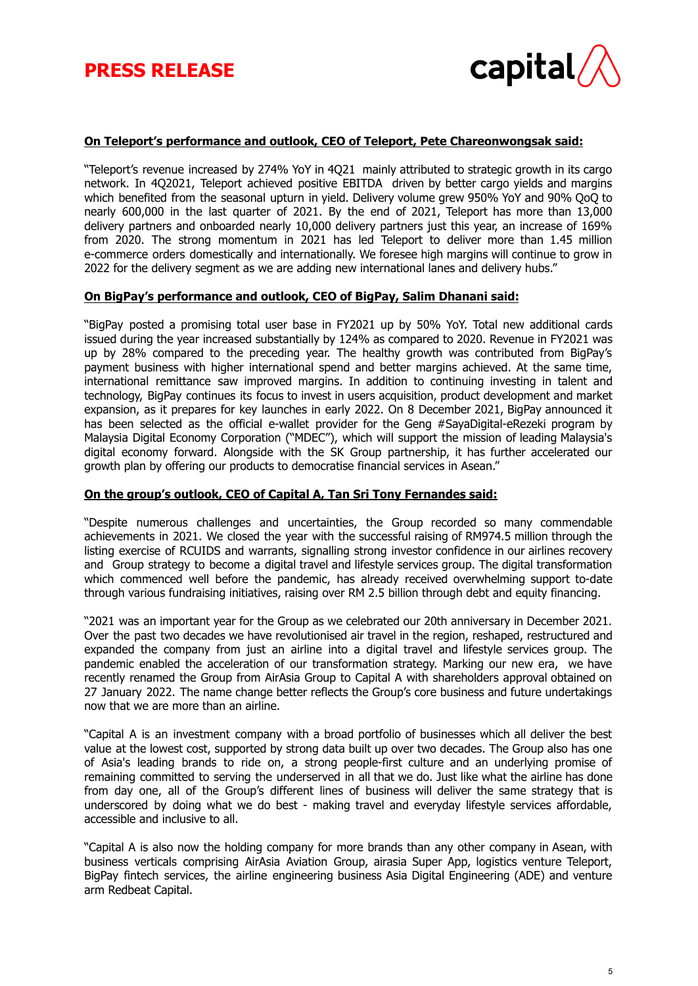

#### **On Teleport's performance and outlook, CEO of Teleport, Pete Chareonwongsak said:**

"Teleport's revenue increased by 274% YoY in 4Q21 mainly attributed to strategic growth in its cargo network. In 4Q2021, Teleport achieved positive EBITDA driven by better cargo yields and margins which benefited from the seasonal upturn in yield. Delivery volume grew 950% YoY and 90% QoQ to nearly 600,000 in the last quarter of 2021. By the end of 2021, Teleport has more than 13,000 delivery partners and onboarded nearly 10,000 delivery partners just this year, an increase of 169% from 2020. The strong momentum in 2021 has led Teleport to deliver more than 1.45 million e-commerce orders domestically and internationally. We foresee high margins will continue to grow in 2022 for the delivery segment as we are adding new international lanes and delivery hubs."

#### **On BigPay's performance and outlook, CEO of BigPay, Salim Dhanani said:**

"BigPay posted a promising total user base in FY2021 up by 50% YoY. Total new additional cards issued during the year increased substantially by 124% as compared to 2020. Revenue in FY2021 was up by 28% compared to the preceding year. The healthy growth was contributed from BigPay's payment business with higher international spend and better margins achieved. At the same time, international remittance saw improved margins. In addition to continuing investing in talent and technology, BigPay continues its focus to invest in users acquisition, product development and market expansion, as it prepares for key launches in early 2022. On 8 December 2021, BigPay announced it has been selected as the official e-wallet provider for the Geng #SayaDigital-eRezeki program by Malaysia Digital Economy Corporation ("MDEC"), which will support the mission of leading Malaysia's digital economy forward. Alongside with the SK Group partnership, it has further accelerated our growth plan by offering our products to democratise financial services in Asean."

#### **On the group's outlook, CEO of Capital A, Tan Sri Tony Fernandes said:**

"Despite numerous challenges and uncertainties, the Group recorded so many commendable achievements in 2021. We closed the year with the successful raising of RM974.5 million through the listing exercise of RCUIDS and warrants, signalling strong investor confidence in our airlines recovery and Group strategy to become a digital travel and lifestyle services group. The digital transformation which commenced well before the pandemic, has already received overwhelming support to-date through various fundraising initiatives, raising over RM 2.5 billion through debt and equity financing.

"2021 was an important year for the Group as we celebrated our 20th anniversary in December 2021. Over the past two decades we have revolutionised air travel in the region, reshaped, restructured and expanded the company from just an airline into a digital travel and lifestyle services group. The pandemic enabled the acceleration of our transformation strategy. Marking our new era, we have recently renamed the Group from AirAsia Group to Capital A with shareholders approval obtained on 27 January 2022. The name change better reflects the Group's core business and future undertakings now that we are more than an airline.

"Capital A is an investment company with a broad portfolio of businesses which all deliver the best value at the lowest cost, supported by strong data built up over two decades. The Group also has one of Asia's leading brands to ride on, a strong people-first culture and an underlying promise of remaining committed to serving the underserved in all that we do. Just like what the airline has done from day one, all of the Group's different lines of business will deliver the same strategy that is underscored by doing what we do best - making travel and everyday lifestyle services affordable, accessible and inclusive to all.

"Capital A is also now the holding company for more brands than any other company in Asean, with business verticals comprising AirAsia Aviation Group, airasia Super App, logistics venture Teleport, BigPay fintech services, the airline engineering business Asia Digital Engineering (ADE) and venture arm Redbeat Capital.